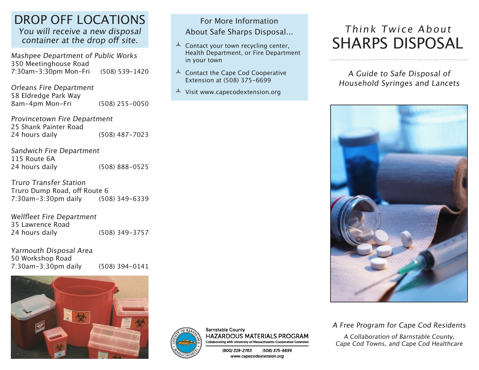### DROP OFF LOCATIONS You will receive a new disposal

container at the drop off site.

Mashpee Department of Public Works 350 Meetinghouse Road 7:30am-3:30pm Mon-Fri (508) 539-1420

Orleans Fire Department 58 Eldredge Park Way 8am-4pm Mon-Fri (508) 255-0050

Provincetown Fire Department 25 Shank Painter Road (508) 487-7023

Sandwich Fire Department 115 Route 6A<br>24 hours daily (508) 888-0525

Truro Transfer Station Truro Dump Road, off Route 6 7:30am-3:30pm daily (508) 349-6339

Wellfleet Fire Department 35 Lawrence Road<br>24 hours daily (508) 349-3757

Yarmouth Disposal Area 50 Workshop Road 7:30am-3:30pm daily (508) 394-0141





**Barnstable County HAZARDOUS MATERIALS PROGRAM** Collaborating with University of Massachusetts Cooperative Extension

> (800) 319-2783 (508) 375-6699 www.capecodextension.org

For More Information About Safe Sharps Disposal...

Health Department, or Fire Department

 $\triangle$  Contact your town recycling center,

 $\triangle$  Contact the Cape Cod Cooperative Extension at (508) 375-6699

 $\triangle$  Visit www.capecodextension.org

in your town

# Think Twice About SHARPS DISPOSAL

A Guide to Safe Disposal of Household Syringes and Lancets



A Free Program for Cape Cod Residents

A Collaboration of Barnstable County, Cape Cod Towns, and Cape Cod Healthcare